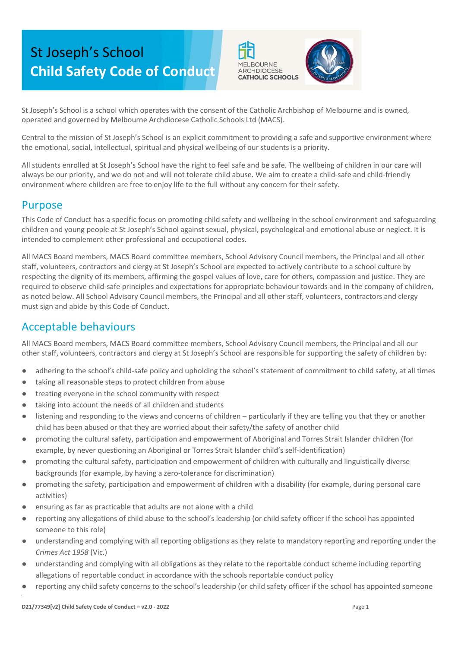# St Joseph's School **Child Safety Code of Conduct**



St Joseph's School is a school which operates with the consent of the Catholic Archbishop of Melbourne and is owned, operated and governed by Melbourne Archdiocese Catholic Schools Ltd (MACS).

Central to the mission of St Joseph's School is an explicit commitment to providing a safe and supportive environment where the emotional, social, intellectual, spiritual and physical wellbeing of our students is a priority.

All students enrolled at St Joseph's School have the right to feel safe and be safe. The wellbeing of children in our care will always be our priority, and we do not and will not tolerate child abuse. We aim to create a child-safe and child-friendly environment where children are free to enjoy life to the full without any concern for their safety.

### Purpose

This Code of Conduct has a specific focus on promoting child safety and wellbeing in the school environment and safeguarding children and young people at St Joseph's School against sexual, physical, psychological and emotional abuse or neglect. It is intended to complement other professional and occupational codes.

All MACS Board members, MACS Board committee members, School Advisory Council members, the Principal and all other staff, volunteers, contractors and clergy at St Joseph's School are expected to actively contribute to a school culture by respecting the dignity of its members, affirming the gospel values of love, care for others, compassion and justice. They are required to observe child-safe principles and expectations for appropriate behaviour towards and in the company of children, as noted below. All School Advisory Council members, the Principal and all other staff, volunteers, contractors and clergy must sign and abide by this Code of Conduct.

## Acceptable behaviours

All MACS Board members, MACS Board committee members, School Advisory Council members, the Principal and all our other staff, volunteers, contractors and clergy at St Joseph's School are responsible for supporting the safety of children by:

- adhering to the school's child-safe policy and upholding the school's statement of commitment to child safety, at all times
- taking all reasonable steps to protect children from abuse
- treating everyone in the school community with respect
- taking into account the needs of all children and students
- listening and responding to the views and concerns of children particularly if they are telling you that they or another child has been abused or that they are worried about their safety/the safety of another child
- promoting the cultural safety, participation and empowerment of Aboriginal and Torres Strait Islander children (for example, by never questioning an Aboriginal or Torres Strait Islander child's self-identification)
- promoting the cultural safety, participation and empowerment of children with culturally and linguistically diverse backgrounds (for example, by having a zero-tolerance for discrimination)
- promoting the safety, participation and empowerment of children with a disability (for example, during personal care activities)
- ensuring as far as practicable that adults are not alone with a child
- reporting any allegations of child abuse to the school's leadership (or child safety officer if the school has appointed someone to this role)
- understanding and complying with all reporting obligations as they relate to mandatory reporting and reporting under the *Crimes Act 1958* (Vic.)
- understanding and complying with all obligations as they relate to the reportable conduct scheme including reporting allegations of reportable conduct in accordance with the schools reportable conduct policy
- reporting any child safety concerns to the school's leadership (or child safety officer if the school has appointed someone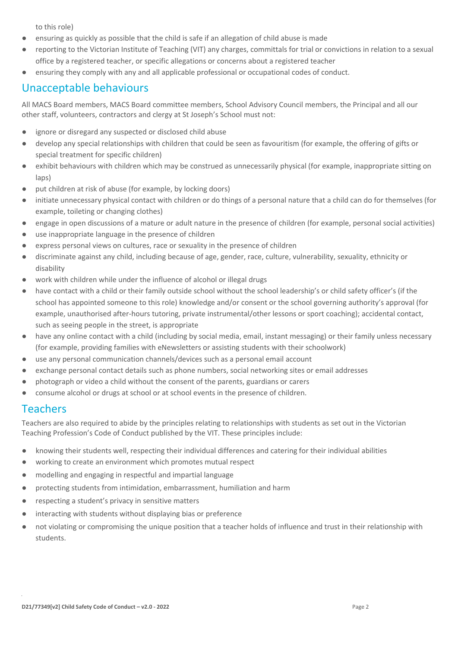to this role)

- ensuring as quickly as possible that the child is safe if an allegation of child abuse is made
- reporting to the Victorian Institute of Teaching (VIT) any charges, committals for trial or convictions in relation to a sexual office by a registered teacher, or specific allegations or concerns about a registered teacher
- ensuring they comply with any and all applicable professional or occupational codes of conduct.

## Unacceptable behaviours

All MACS Board members, MACS Board committee members, School Advisory Council members, the Principal and all our other staff, volunteers, contractors and clergy at St Joseph's School must not:

- ignore or disregard any suspected or disclosed child abuse
- develop any special relationships with children that could be seen as favouritism (for example, the offering of gifts or special treatment for specific children)
- exhibit behaviours with children which may be construed as unnecessarily physical (for example, inappropriate sitting on laps)
- put children at risk of abuse (for example, by locking doors)
- initiate unnecessary physical contact with children or do things of a personal nature that a child can do for themselves (for example, toileting or changing clothes)
- engage in open discussions of a mature or adult nature in the presence of children (for example, personal social activities)
- use inappropriate language in the presence of children
- express personal views on cultures, race or sexuality in the presence of children
- discriminate against any child, including because of age, gender, race, culture, vulnerability, sexuality, ethnicity or disability
- work with children while under the influence of alcohol or illegal drugs
- have contact with a child or their family outside school without the school leadership's or child safety officer's (if the school has appointed someone to this role) knowledge and/or consent or the school governing authority's approval (for example, unauthorised after-hours tutoring, private instrumental/other lessons or sport coaching); accidental contact, such as seeing people in the street, is appropriate
- have any online contact with a child (including by social media, email, instant messaging) or their family unless necessary (for example, providing families with eNewsletters or assisting students with their schoolwork)
- use any personal communication channels/devices such as a personal email account
- exchange personal contact details such as phone numbers, social networking sites or email addresses
- photograph or video a child without the consent of the parents, guardians or carers
- consume alcohol or drugs at school or at school events in the presence of children.

#### Teachers

Teachers are also required to abide by the principles relating to relationships with students as set out in the Victorian Teaching Profession's Code of Conduct published by the VIT. These principles include:

- knowing their students well, respecting their individual differences and catering for their individual abilities
- working to create an environment which promotes mutual respect
- modelling and engaging in respectful and impartial language
- protecting students from intimidation, embarrassment, humiliation and harm
- respecting a student's privacy in sensitive matters
- interacting with students without displaying bias or preference
- not violating or compromising the unique position that a teacher holds of influence and trust in their relationship with students.